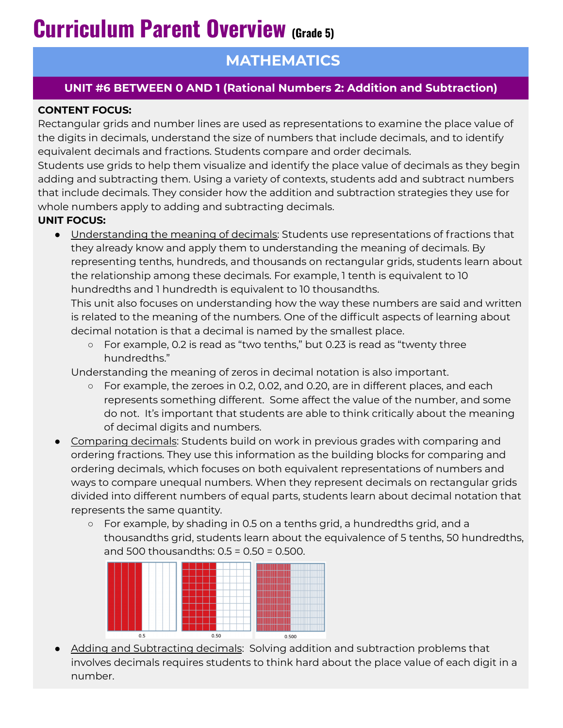# **Curriculum Parent Overview (Grade 5)**

## **MATHEMATICS**

### **UNIT #6 BETWEEN 0 AND 1 (Rational Numbers 2: Addition and Subtraction)**

#### **CONTENT FOCUS:**

Rectangular grids and number lines are used as representations to examine the place value of the digits in decimals, understand the size of numbers that include decimals, and to identify equivalent decimals and fractions. Students compare and order decimals.

Students use grids to help them visualize and identify the place value of decimals as they begin adding and subtracting them. Using a variety of contexts, students add and subtract numbers that include decimals. They consider how the addition and subtraction strategies they use for whole numbers apply to adding and subtracting decimals.

#### **UNIT FOCUS:**

● Understanding the meaning of decimals: Students use representations of fractions that they already know and apply them to understanding the meaning of decimals. By representing tenths, hundreds, and thousands on rectangular grids, students learn about the relationship among these decimals. For example, 1 tenth is equivalent to 10 hundredths and 1 hundredth is equivalent to 10 thousandths.

This unit also focuses on understanding how the way these numbers are said and written is related to the meaning of the numbers. One of the difficult aspects of learning about decimal notation is that a decimal is named by the smallest place.

○ For example, 0.2 is read as "two tenths," but 0.23 is read as "twenty three hundredths."

Understanding the meaning of zeros in decimal notation is also important.

- $\circ$  For example, the zeroes in 0.2, 0.02, and 0.20, are in different places, and each represents something different. Some affect the value of the number, and some do not. It's important that students are able to think critically about the meaning of decimal digits and numbers.
- Comparing decimals: Students build on work in previous grades with comparing and ordering fractions. They use this information as the building blocks for comparing and ordering decimals, which focuses on both equivalent representations of numbers and ways to compare unequal numbers. When they represent decimals on rectangular grids divided into different numbers of equal parts, students learn about decimal notation that represents the same quantity.
	- For example, by shading in 0.5 on a tenths grid, a hundredths grid, and a thousandths grid, students learn about the equivalence of 5 tenths, 50 hundredths, and 500 thousandths: 0.5 = 0.50 = 0.500.



• Adding and Subtracting decimals: Solving addition and subtraction problems that involves decimals requires students to think hard about the place value of each digit in a number.